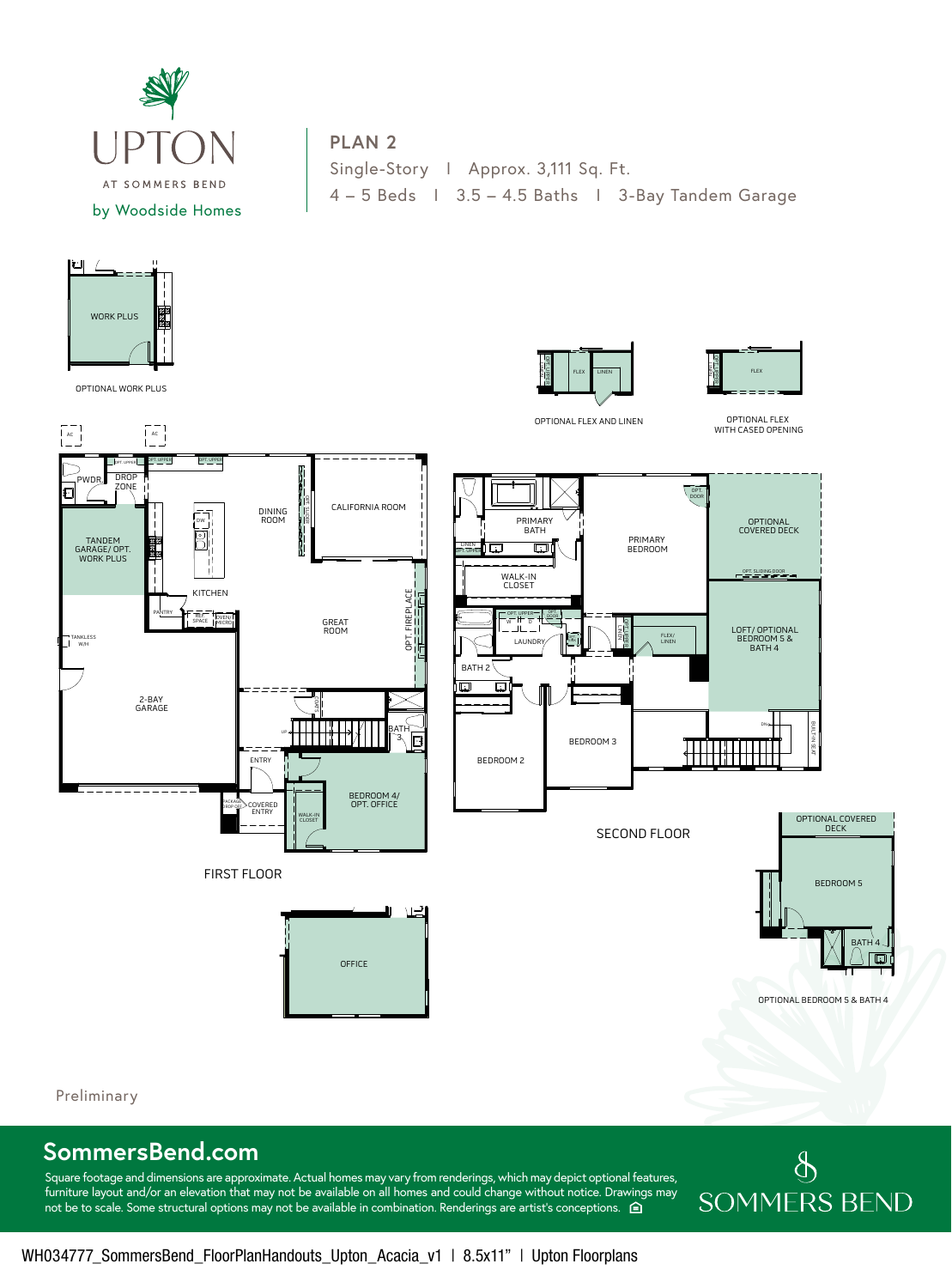

## **PLAN 2**

Single-Story I Approx. 3,111 Sq. Ft. 4 – 5 Beds I 3.5 – 4.5 Baths I 3-Bay Tandem Garage



OPTIONAL WORK PLUS

TANKLESS W/H



OPTIONAL BEDROOM 5 & BATH 4

BATH 4

Preliminary

## **SommersBend.com**

Square footage and dimensions are approximate. Actual homes may vary from renderings, which may depict optional features, furniture layout and/or an elevation that may not be available on all homes and could change without notice. Drawings may not be to scale. Some structural options may not be available in combination. Renderings are artist's conceptions.  $\bigoplus$ 

## $\oint$ **SOMMERS BEND**